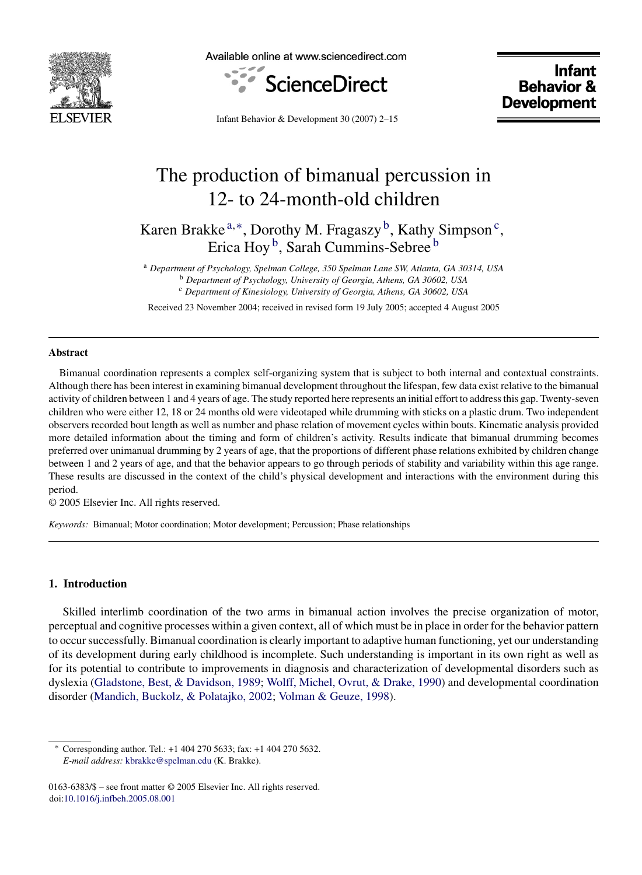

Available online at www.sciencedirect.com



**Infant Behavior & Development** 

Infant Behavior & Development 30 (2007) 2–15

# The production of bimanual percussion in 12- to 24-month-old children

Karen Brakke  $a,*$ , Dorothy M. Fragaszy  $b$ , Kathy Simpson<sup>c</sup>, Erica Hoy b, Sarah Cummins-Sebree <sup>b</sup>

<sup>a</sup> *Department of Psychology, Spelman College, 350 Spelman Lane SW, Atlanta, GA 30314, USA* <sup>b</sup> *Department of Psychology, University of Georgia, Athens, GA 30602, USA* <sup>c</sup> *Department of Kinesiology, University of Georgia, Athens, GA 30602, USA*

Received 23 November 2004; received in revised form 19 July 2005; accepted 4 August 2005

## **Abstract**

Bimanual coordination represents a complex self-organizing system that is subject to both internal and contextual constraints. Although there has been interest in examining bimanual development throughout the lifespan, few data exist relative to the bimanual activity of children between 1 and 4 years of age. The study reported here represents an initial effort to address this gap. Twenty-seven children who were either 12, 18 or 24 months old were videotaped while drumming with sticks on a plastic drum. Two independent observers recorded bout length as well as number and phase relation of movement cycles within bouts. Kinematic analysis provided more detailed information about the timing and form of children's activity. Results indicate that bimanual drumming becomes preferred over unimanual drumming by 2 years of age, that the proportions of different phase relations exhibited by children change between 1 and 2 years of age, and that the behavior appears to go through periods of stability and variability within this age range. These results are discussed in the context of the child's physical development and interactions with the environment during this period.

© 2005 Elsevier Inc. All rights reserved.

*Keywords:* Bimanual; Motor coordination; Motor development; Percussion; Phase relationships

## **1. Introduction**

Skilled interlimb coordination of the two arms in bimanual action involves the precise organization of motor, perceptual and cognitive processes within a given context, all of which must be in place in order for the behavior pattern to occur successfully. Bimanual coordination is clearly important to adaptive human functioning, yet our understanding of its development during early childhood is incomplete. Such understanding is important in its own right as well as for its potential to contribute to improvements in diagnosis and characterization of developmental disorders such as dyslexia [\(Gladstone, Best, & Davidson, 1989;](#page-13-0) [Wolff, Michel, Ovrut, & Drake, 1990\)](#page-13-0) and developmental coordination disorder ([Mandich, Buckolz, & Polatajko, 2002;](#page-13-0) [Volman & Geuze, 1998\).](#page-13-0)

<sup>∗</sup> Corresponding author. Tel.: +1 404 270 5633; fax: +1 404 270 5632. *E-mail address:* [kbrakke@spelman.edu](mailto:kbrakke@spelman.edu) (K. Brakke).

<sup>0163-6383/\$ –</sup> see front matter © 2005 Elsevier Inc. All rights reserved. doi[:10.1016/j.infbeh.2005.08.001](dx.doi.org/10.1016/j.infbeh.2005.08.001)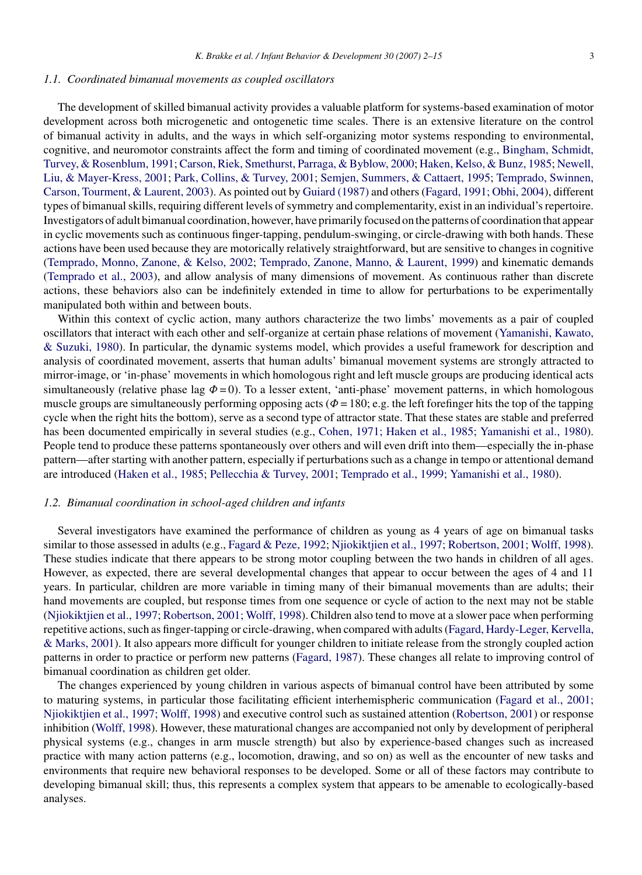## *1.1. Coordinated bimanual movements as coupled oscillators*

The development of skilled bimanual activity provides a valuable platform for systems-based examination of motor development across both microgenetic and ontogenetic time scales. There is an extensive literature on the control of bimanual activity in adults, and the ways in which self-organizing motor systems responding to environmental, cognitive, and neuromotor constraints affect the form and timing of coordinated movement (e.g., [Bingham, Schmidt,](#page-12-0) [Turvey, & Rosenblum, 1991;](#page-12-0) [Carson, Riek, Smethurst, Parraga, & Byblow, 2000;](#page-12-0) [Haken, Kelso, & Bunz, 1985;](#page-13-0) [Newell,](#page-13-0) [Liu, & Mayer-Kress, 2001;](#page-13-0) [Park, Collins, & Turvey, 2001;](#page-13-0) [Semjen, Summers, & Cattaert, 1995;](#page-13-0) [Temprado, Swinnen,](#page-13-0) [Carson, Tourment, & Laurent, 2003\).](#page-13-0) As pointed out by [Guiard \(1987\)](#page-13-0) and others ([Fagard, 1991; Obhi, 2004\),](#page-12-0) different types of bimanual skills, requiring different levels of symmetry and complementarity, exist in an individual's repertoire. Investigators of adult bimanual coordination, however, have primarily focused on the patterns of coordination that appear in cyclic movements such as continuous finger-tapping, pendulum-swinging, or circle-drawing with both hands. These actions have been used because they are motorically relatively straightforward, but are sensitive to changes in cognitive [\(Temprado, Monno, Zanone, & Kelso, 2002;](#page-13-0) [Temprado, Zanone, Manno, & Laurent, 1999\)](#page-13-0) and kinematic demands [\(Temprado et al., 2003\),](#page-13-0) and allow analysis of many dimensions of movement. As continuous rather than discrete actions, these behaviors also can be indefinitely extended in time to allow for perturbations to be experimentally manipulated both within and between bouts.

Within this context of cyclic action, many authors characterize the two limbs' movements as a pair of coupled oscillators that interact with each other and self-organize at certain phase relations of movement ([Yamanishi, Kawato,](#page-12-0) [& Suzuki, 1980\).](#page-12-0) In particular, the dynamic systems model, which provides a useful framework for description and analysis of coordinated movement, asserts that human adults' bimanual movement systems are strongly attracted to mirror-image, or 'in-phase' movements in which homologous right and left muscle groups are producing identical acts simultaneously (relative phase lag  $\Phi = 0$ ). To a lesser extent, 'anti-phase' movement patterns, in which homologous muscle groups are simultaneously performing opposing acts ( $\Phi = 180$ ; e.g. the left forefinger hits the top of the tapping cycle when the right hits the bottom), serve as a second type of attractor state. That these states are stable and preferred has been documented empirically in several studies (e.g., [Cohen, 1971; Haken et al., 1985; Yamanishi et al., 1980\).](#page-12-0) People tend to produce these patterns spontaneously over others and will even drift into them—especially the in-phase pattern—after starting with another pattern, especially if perturbations such as a change in tempo or attentional demand are introduced [\(Haken et al., 1985;](#page-13-0) [Pellecchia & Turvey, 2001;](#page-13-0) [Temprado et al., 1999; Yamanishi et al., 1980\).](#page-13-0)

## *1.2. Bimanual coordination in school-aged children and infants*

Several investigators have examined the performance of children as young as 4 years of age on bimanual tasks similar to those assessed in adults (e.g., [Fagard & Peze, 1992;](#page-12-0) [Njiokiktjien et al., 1997; Robertson, 2001; Wolff, 1998\).](#page-13-0) These studies indicate that there appears to be strong motor coupling between the two hands in children of all ages. However, as expected, there are several developmental changes that appear to occur between the ages of 4 and 11 years. In particular, children are more variable in timing many of their bimanual movements than are adults; their hand movements are coupled, but response times from one sequence or cycle of action to the next may not be stable [\(Njiokiktjien et al., 1997; Robertson, 2001; Wolff, 1998\).](#page-13-0) Children also tend to move at a slower pace when performing repetitive actions, such as finger-tapping or circle-drawing, when compared with adults [\(Fagard, Hardy-Leger, Kervella,](#page-13-0) [& Marks, 2001\).](#page-13-0) It also appears more difficult for younger children to initiate release from the strongly coupled action patterns in order to practice or perform new patterns [\(Fagard, 1987\).](#page-12-0) These changes all relate to improving control of bimanual coordination as children get older.

The changes experienced by young children in various aspects of bimanual control have been attributed by some to maturing systems, in particular those facilitating efficient interhemispheric communication [\(Fagard et al., 2001;](#page-13-0) [Njiokiktjien et al., 1997; Wolff, 1998\)](#page-13-0) and executive control such as sustained attention ([Robertson, 2001\)](#page-13-0) or response inhibition ([Wolff, 1998\).](#page-13-0) However, these maturational changes are accompanied not only by development of peripheral physical systems (e.g., changes in arm muscle strength) but also by experience-based changes such as increased practice with many action patterns (e.g., locomotion, drawing, and so on) as well as the encounter of new tasks and environments that require new behavioral responses to be developed. Some or all of these factors may contribute to developing bimanual skill; thus, this represents a complex system that appears to be amenable to ecologically-based analyses.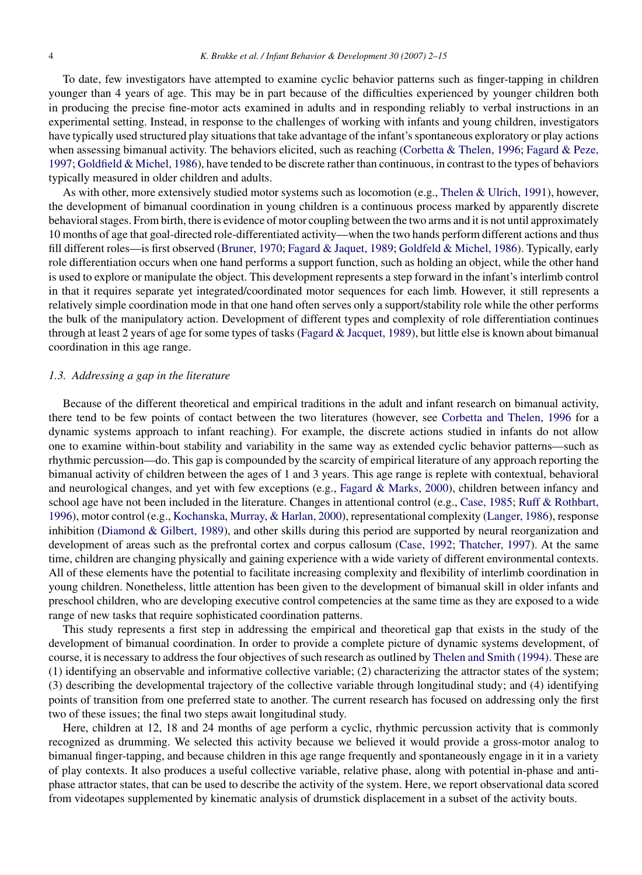To date, few investigators have attempted to examine cyclic behavior patterns such as finger-tapping in children younger than 4 years of age. This may be in part because of the difficulties experienced by younger children both in producing the precise fine-motor acts examined in adults and in responding reliably to verbal instructions in an experimental setting. Instead, in response to the challenges of working with infants and young children, investigators have typically used structured play situations that take advantage of the infant's spontaneous exploratory or play actions when assessing bimanual activity. The behaviors elicited, such as reaching ([Corbetta & Thelen, 1996;](#page-12-0) [Fagard & Peze,](#page-13-0) [1997;](#page-13-0) [Goldfield & Michel, 1986\),](#page-13-0) have tended to be discrete rather than continuous, in contrast to the types of behaviors typically measured in older children and adults.

As with other, more extensively studied motor systems such as locomotion (e.g., [Thelen & Ulrich, 1991\),](#page-13-0) however, the development of bimanual coordination in young children is a continuous process marked by apparently discrete behavioral stages. From birth, there is evidence of motor coupling between the two arms and it is not until approximately 10 months of age that goal-directed role-differentiated activity—when the two hands perform different actions and thus fill different roles—is first observed [\(Bruner, 1970;](#page-12-0) [Fagard & Jaquet, 1989;](#page-13-0) [Goldfeld & Michel, 1986\).](#page-13-0) Typically, early role differentiation occurs when one hand performs a support function, such as holding an object, while the other hand is used to explore or manipulate the object. This development represents a step forward in the infant's interlimb control in that it requires separate yet integrated/coordinated motor sequences for each limb. However, it still represents a relatively simple coordination mode in that one hand often serves only a support/stability role while the other performs the bulk of the manipulatory action. Development of different types and complexity of role differentiation continues through at least 2 years of age for some types of tasks [\(Fagard & Jacquet, 1989\),](#page-13-0) but little else is known about bimanual coordination in this age range.

#### *1.3. Addressing a gap in the literature*

Because of the different theoretical and empirical traditions in the adult and infant research on bimanual activity, there tend to be few points of contact between the two literatures (however, see [Corbetta and Thelen, 1996](#page-12-0) for a dynamic systems approach to infant reaching). For example, the discrete actions studied in infants do not allow one to examine within-bout stability and variability in the same way as extended cyclic behavior patterns—such as rhythmic percussion—do. This gap is compounded by the scarcity of empirical literature of any approach reporting the bimanual activity of children between the ages of 1 and 3 years. This age range is replete with contextual, behavioral and neurological changes, and yet with few exceptions (e.g., [Fagard & Marks, 2000\),](#page-13-0) children between infancy and school age have not been included in the literature. Changes in attentional control (e.g., [Case, 1985;](#page-12-0) [Ruff & Rothbart,](#page-13-0) [1996\),](#page-13-0) motor control (e.g., [Kochanska, Murray, & Harlan, 2000\),](#page-13-0) representational complexity ([Langer, 1986\),](#page-13-0) response inhibition [\(Diamond & Gilbert, 1989\),](#page-12-0) and other skills during this period are supported by neural reorganization and development of areas such as the prefrontal cortex and corpus callosum [\(Case, 1992; Thatcher, 1997\).](#page-12-0) At the same time, children are changing physically and gaining experience with a wide variety of different environmental contexts. All of these elements have the potential to facilitate increasing complexity and flexibility of interlimb coordination in young children. Nonetheless, little attention has been given to the development of bimanual skill in older infants and preschool children, who are developing executive control competencies at the same time as they are exposed to a wide range of new tasks that require sophisticated coordination patterns.

This study represents a first step in addressing the empirical and theoretical gap that exists in the study of the development of bimanual coordination. In order to provide a complete picture of dynamic systems development, of course, it is necessary to address the four objectives of such research as outlined by [Thelen and Smith \(1994\). T](#page-13-0)hese are (1) identifying an observable and informative collective variable; (2) characterizing the attractor states of the system; (3) describing the developmental trajectory of the collective variable through longitudinal study; and (4) identifying points of transition from one preferred state to another. The current research has focused on addressing only the first two of these issues; the final two steps await longitudinal study.

Here, children at 12, 18 and 24 months of age perform a cyclic, rhythmic percussion activity that is commonly recognized as drumming. We selected this activity because we believed it would provide a gross-motor analog to bimanual finger-tapping, and because children in this age range frequently and spontaneously engage in it in a variety of play contexts. It also produces a useful collective variable, relative phase, along with potential in-phase and antiphase attractor states, that can be used to describe the activity of the system. Here, we report observational data scored from videotapes supplemented by kinematic analysis of drumstick displacement in a subset of the activity bouts.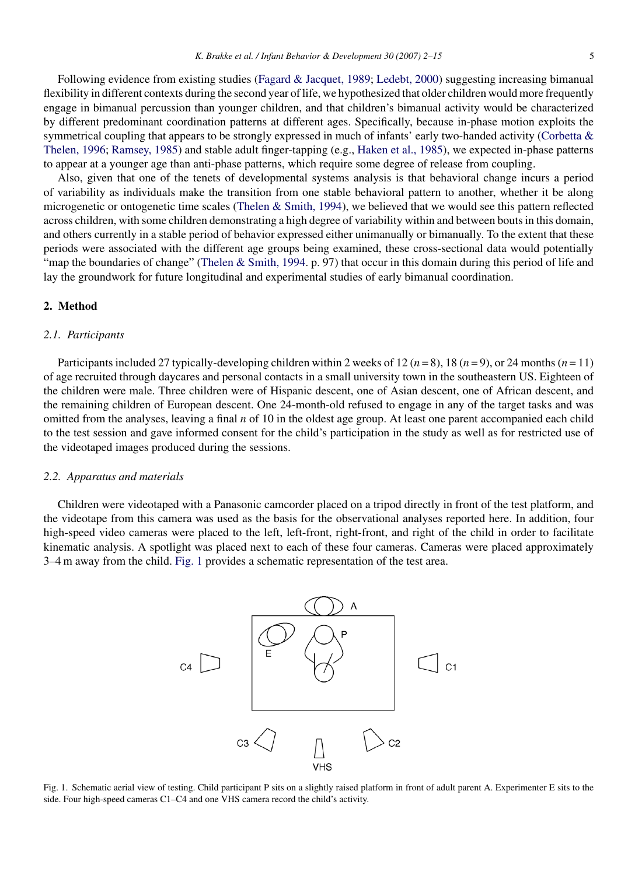Following evidence from existing studies ([Fagard & Jacquet, 1989;](#page-13-0) [Ledebt, 2000\)](#page-13-0) suggesting increasing bimanual flexibility in different contexts during the second year of life, we hypothesized that older children would more frequently engage in bimanual percussion than younger children, and that children's bimanual activity would be characterized by different predominant coordination patterns at different ages. Specifically, because in-phase motion exploits the symmetrical coupling that appears to be strongly expressed in much of infants' early two-handed activity ([Corbetta &](#page-12-0) [Thelen, 1996;](#page-12-0) [Ramsey, 1985\)](#page-13-0) and stable adult finger-tapping (e.g., [Haken et al., 1985\),](#page-13-0) we expected in-phase patterns to appear at a younger age than anti-phase patterns, which require some degree of release from coupling.

Also, given that one of the tenets of developmental systems analysis is that behavioral change incurs a period of variability as individuals make the transition from one stable behavioral pattern to another, whether it be along microgenetic or ontogenetic time scales ([Thelen & Smith, 1994\),](#page-13-0) we believed that we would see this pattern reflected across children, with some children demonstrating a high degree of variability within and between bouts in this domain, and others currently in a stable period of behavior expressed either unimanually or bimanually. To the extent that these periods were associated with the different age groups being examined, these cross-sectional data would potentially "map the boundaries of change" [\(Thelen & Smith, 1994. p](#page-13-0). 97) that occur in this domain during this period of life and lay the groundwork for future longitudinal and experimental studies of early bimanual coordination.

## **2. Method**

#### *2.1. Participants*

Participants included 27 typically-developing children within 2 weeks of 12 ( $n = 8$ ), 18 ( $n = 9$ ), or 24 months ( $n = 11$ ) of age recruited through daycares and personal contacts in a small university town in the southeastern US. Eighteen of the children were male. Three children were of Hispanic descent, one of Asian descent, one of African descent, and the remaining children of European descent. One 24-month-old refused to engage in any of the target tasks and was omitted from the analyses, leaving a final *n* of 10 in the oldest age group. At least one parent accompanied each child to the test session and gave informed consent for the child's participation in the study as well as for restricted use of the videotaped images produced during the sessions.

#### *2.2. Apparatus and materials*

Children were videotaped with a Panasonic camcorder placed on a tripod directly in front of the test platform, and the videotape from this camera was used as the basis for the observational analyses reported here. In addition, four high-speed video cameras were placed to the left, left-front, right-front, and right of the child in order to facilitate kinematic analysis. A spotlight was placed next to each of these four cameras. Cameras were placed approximately 3–4 m away from the child. Fig. 1 provides a schematic representation of the test area.



Fig. 1. Schematic aerial view of testing. Child participant P sits on a slightly raised platform in front of adult parent A. Experimenter E sits to the side. Four high-speed cameras C1–C4 and one VHS camera record the child's activity.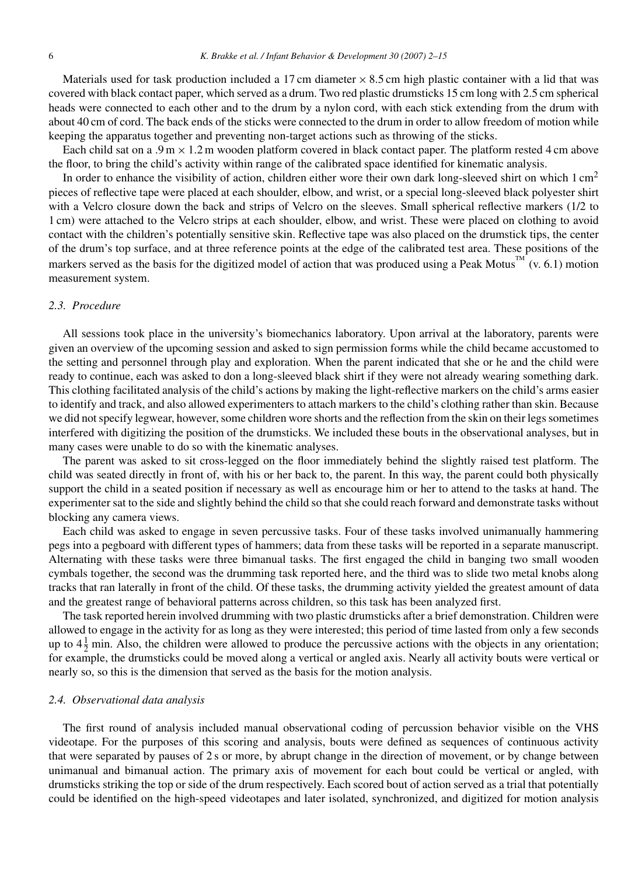Materials used for task production included a 17 cm diameter  $\times$  8.5 cm high plastic container with a lid that was covered with black contact paper, which served as a drum. Two red plastic drumsticks 15 cm long with 2.5 cm spherical heads were connected to each other and to the drum by a nylon cord, with each stick extending from the drum with about 40 cm of cord. The back ends of the sticks were connected to the drum in order to allow freedom of motion while keeping the apparatus together and preventing non-target actions such as throwing of the sticks.

Each child sat on a .9 m  $\times$  1.2 m wooden platform covered in black contact paper. The platform rested 4 cm above the floor, to bring the child's activity within range of the calibrated space identified for kinematic analysis.

In order to enhance the visibility of action, children either wore their own dark long-sleeved shirt on which  $1 \text{ cm}^2$ pieces of reflective tape were placed at each shoulder, elbow, and wrist, or a special long-sleeved black polyester shirt with a Velcro closure down the back and strips of Velcro on the sleeves. Small spherical reflective markers (1/2 to 1 cm) were attached to the Velcro strips at each shoulder, elbow, and wrist. These were placed on clothing to avoid contact with the children's potentially sensitive skin. Reflective tape was also placed on the drumstick tips, the center of the drum's top surface, and at three reference points at the edge of the calibrated test area. These positions of the markers served as the basis for the digitized model of action that was produced using a Peak Motus<sup>TM</sup> (v. 6.1) motion measurement system.

#### *2.3. Procedure*

All sessions took place in the university's biomechanics laboratory. Upon arrival at the laboratory, parents were given an overview of the upcoming session and asked to sign permission forms while the child became accustomed to the setting and personnel through play and exploration. When the parent indicated that she or he and the child were ready to continue, each was asked to don a long-sleeved black shirt if they were not already wearing something dark. This clothing facilitated analysis of the child's actions by making the light-reflective markers on the child's arms easier to identify and track, and also allowed experimenters to attach markers to the child's clothing rather than skin. Because we did not specify legwear, however, some children wore shorts and the reflection from the skin on their legs sometimes interfered with digitizing the position of the drumsticks. We included these bouts in the observational analyses, but in many cases were unable to do so with the kinematic analyses.

The parent was asked to sit cross-legged on the floor immediately behind the slightly raised test platform. The child was seated directly in front of, with his or her back to, the parent. In this way, the parent could both physically support the child in a seated position if necessary as well as encourage him or her to attend to the tasks at hand. The experimenter sat to the side and slightly behind the child so that she could reach forward and demonstrate tasks without blocking any camera views.

Each child was asked to engage in seven percussive tasks. Four of these tasks involved unimanually hammering pegs into a pegboard with different types of hammers; data from these tasks will be reported in a separate manuscript. Alternating with these tasks were three bimanual tasks. The first engaged the child in banging two small wooden cymbals together, the second was the drumming task reported here, and the third was to slide two metal knobs along tracks that ran laterally in front of the child. Of these tasks, the drumming activity yielded the greatest amount of data and the greatest range of behavioral patterns across children, so this task has been analyzed first.

The task reported herein involved drumming with two plastic drumsticks after a brief demonstration. Children were allowed to engage in the activity for as long as they were interested; this period of time lasted from only a few seconds up to  $4\frac{1}{2}$  min. Also, the children were allowed to produce the percussive actions with the objects in any orientation; for example, the drumsticks could be moved along a vertical or angled axis. Nearly all activity bouts were vertical or nearly so, so this is the dimension that served as the basis for the motion analysis.

#### *2.4. Observational data analysis*

The first round of analysis included manual observational coding of percussion behavior visible on the VHS videotape. For the purposes of this scoring and analysis, bouts were defined as sequences of continuous activity that were separated by pauses of 2 s or more, by abrupt change in the direction of movement, or by change between unimanual and bimanual action. The primary axis of movement for each bout could be vertical or angled, with drumsticks striking the top or side of the drum respectively. Each scored bout of action served as a trial that potentially could be identified on the high-speed videotapes and later isolated, synchronized, and digitized for motion analysis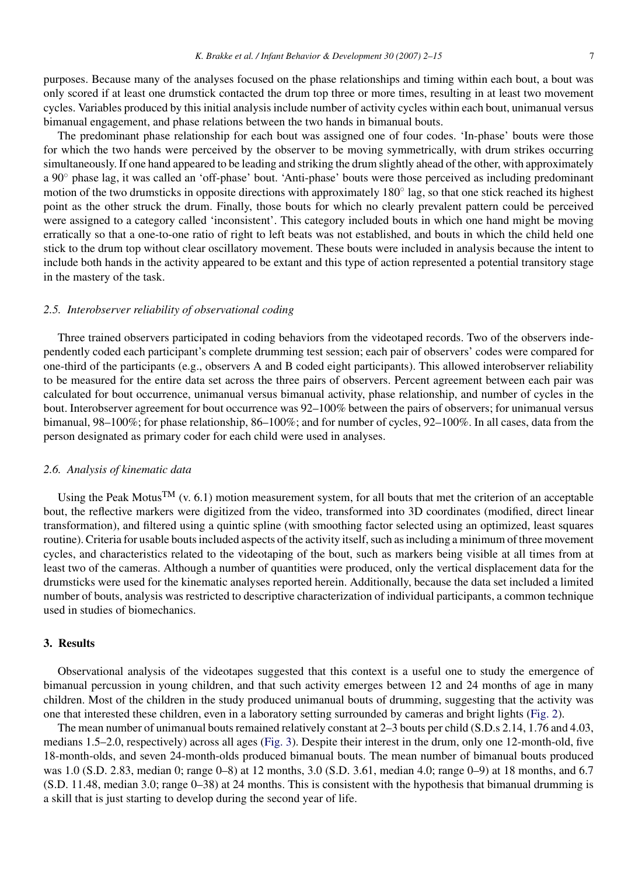purposes. Because many of the analyses focused on the phase relationships and timing within each bout, a bout was only scored if at least one drumstick contacted the drum top three or more times, resulting in at least two movement cycles. Variables produced by this initial analysis include number of activity cycles within each bout, unimanual versus bimanual engagement, and phase relations between the two hands in bimanual bouts.

The predominant phase relationship for each bout was assigned one of four codes. 'In-phase' bouts were those for which the two hands were perceived by the observer to be moving symmetrically, with drum strikes occurring simultaneously. If one hand appeared to be leading and striking the drum slightly ahead of the other, with approximately a 90◦ phase lag, it was called an 'off-phase' bout. 'Anti-phase' bouts were those perceived as including predominant motion of the two drumsticks in opposite directions with approximately 180◦ lag, so that one stick reached its highest point as the other struck the drum. Finally, those bouts for which no clearly prevalent pattern could be perceived were assigned to a category called 'inconsistent'. This category included bouts in which one hand might be moving erratically so that a one-to-one ratio of right to left beats was not established, and bouts in which the child held one stick to the drum top without clear oscillatory movement. These bouts were included in analysis because the intent to include both hands in the activity appeared to be extant and this type of action represented a potential transitory stage in the mastery of the task.

## *2.5. Interobserver reliability of observational coding*

Three trained observers participated in coding behaviors from the videotaped records. Two of the observers independently coded each participant's complete drumming test session; each pair of observers' codes were compared for one-third of the participants (e.g., observers A and B coded eight participants). This allowed interobserver reliability to be measured for the entire data set across the three pairs of observers. Percent agreement between each pair was calculated for bout occurrence, unimanual versus bimanual activity, phase relationship, and number of cycles in the bout. Interobserver agreement for bout occurrence was 92–100% between the pairs of observers; for unimanual versus bimanual, 98–100%; for phase relationship, 86–100%; and for number of cycles, 92–100%. In all cases, data from the person designated as primary coder for each child were used in analyses.

## *2.6. Analysis of kinematic data*

Using the Peak Motus<sup>TM</sup> (v. 6.1) motion measurement system, for all bouts that met the criterion of an acceptable bout, the reflective markers were digitized from the video, transformed into 3D coordinates (modified, direct linear transformation), and filtered using a quintic spline (with smoothing factor selected using an optimized, least squares routine). Criteria for usable bouts included aspects of the activity itself, such as including a minimum of three movement cycles, and characteristics related to the videotaping of the bout, such as markers being visible at all times from at least two of the cameras. Although a number of quantities were produced, only the vertical displacement data for the drumsticks were used for the kinematic analyses reported herein. Additionally, because the data set included a limited number of bouts, analysis was restricted to descriptive characterization of individual participants, a common technique used in studies of biomechanics.

## **3. Results**

Observational analysis of the videotapes suggested that this context is a useful one to study the emergence of bimanual percussion in young children, and that such activity emerges between 12 and 24 months of age in many children. Most of the children in the study produced unimanual bouts of drumming, suggesting that the activity was one that interested these children, even in a laboratory setting surrounded by cameras and bright lights ([Fig. 2\).](#page-6-0)

The mean number of unimanual bouts remained relatively constant at 2–3 bouts per child (S.D.s 2.14, 1.76 and 4.03, medians 1.5–2.0, respectively) across all ages [\(Fig. 3\).](#page-6-0) Despite their interest in the drum, only one 12-month-old, five 18-month-olds, and seven 24-month-olds produced bimanual bouts. The mean number of bimanual bouts produced was 1.0 (S.D. 2.83, median 0; range 0–8) at 12 months, 3.0 (S.D. 3.61, median 4.0; range 0–9) at 18 months, and 6.7 (S.D. 11.48, median 3.0; range 0–38) at 24 months. This is consistent with the hypothesis that bimanual drumming is a skill that is just starting to develop during the second year of life.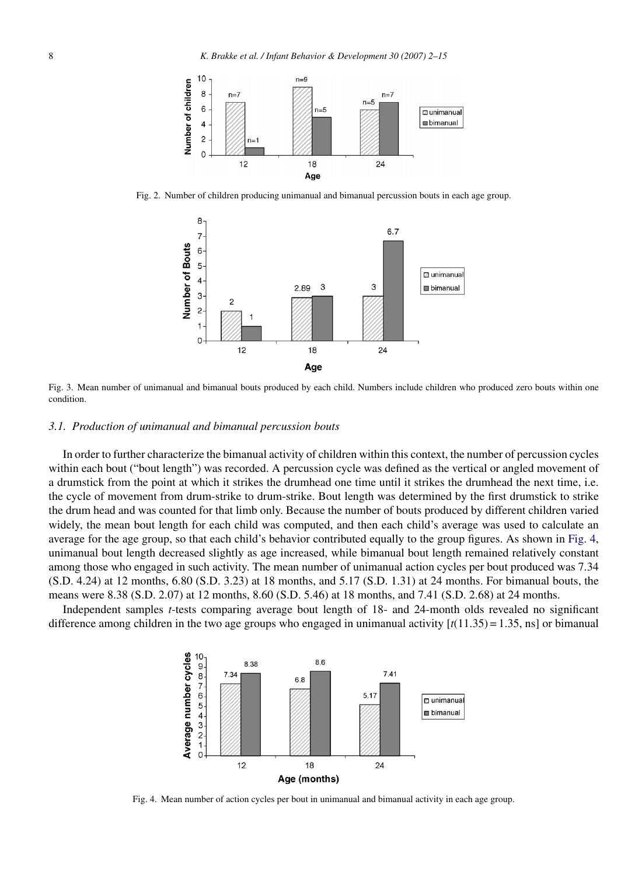<span id="page-6-0"></span>

Fig. 2. Number of children producing unimanual and bimanual percussion bouts in each age group.



Fig. 3. Mean number of unimanual and bimanual bouts produced by each child. Numbers include children who produced zero bouts within one condition.

## *3.1. Production of unimanual and bimanual percussion bouts*

In order to further characterize the bimanual activity of children within this context, the number of percussion cycles within each bout ("bout length") was recorded. A percussion cycle was defined as the vertical or angled movement of a drumstick from the point at which it strikes the drumhead one time until it strikes the drumhead the next time, i.e. the cycle of movement from drum-strike to drum-strike. Bout length was determined by the first drumstick to strike the drum head and was counted for that limb only. Because the number of bouts produced by different children varied widely, the mean bout length for each child was computed, and then each child's average was used to calculate an average for the age group, so that each child's behavior contributed equally to the group figures. As shown in Fig. 4, unimanual bout length decreased slightly as age increased, while bimanual bout length remained relatively constant among those who engaged in such activity. The mean number of unimanual action cycles per bout produced was 7.34 (S.D. 4.24) at 12 months, 6.80 (S.D. 3.23) at 18 months, and 5.17 (S.D. 1.31) at 24 months. For bimanual bouts, the means were 8.38 (S.D. 2.07) at 12 months, 8.60 (S.D. 5.46) at 18 months, and 7.41 (S.D. 2.68) at 24 months.

Independent samples *t*-tests comparing average bout length of 18- and 24-month olds revealed no significant difference among children in the two age groups who engaged in unimanual activity  $[t(11.35) = 1.35, \text{ ns}]$  or bimanual



Fig. 4. Mean number of action cycles per bout in unimanual and bimanual activity in each age group.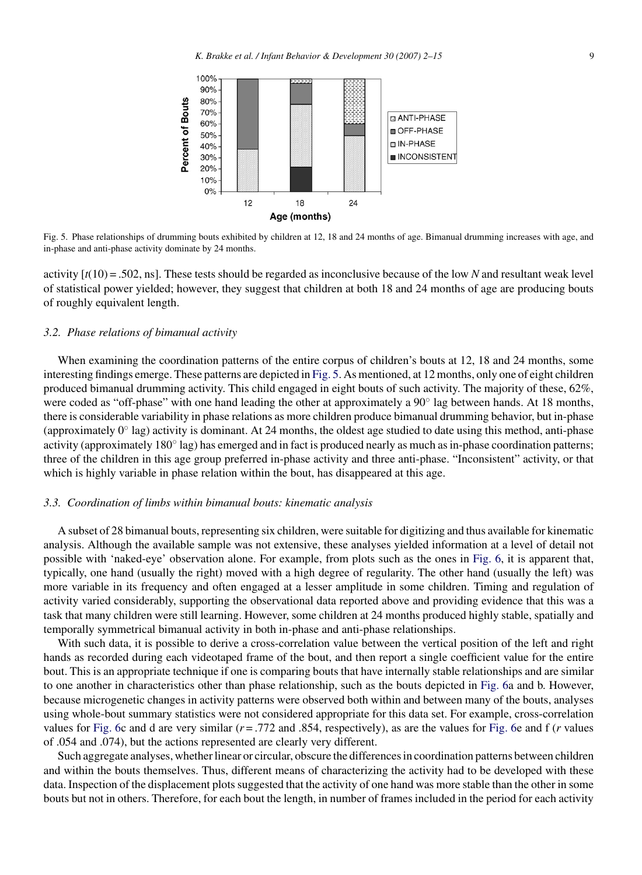

Fig. 5. Phase relationships of drumming bouts exhibited by children at 12, 18 and 24 months of age. Bimanual drumming increases with age, and in-phase and anti-phase activity dominate by 24 months.

activity [*t*(10) = .502, ns]. These tests should be regarded as inconclusive because of the low *N* and resultant weak level of statistical power yielded; however, they suggest that children at both 18 and 24 months of age are producing bouts of roughly equivalent length.

#### *3.2. Phase relations of bimanual activity*

When examining the coordination patterns of the entire corpus of children's bouts at 12, 18 and 24 months, some interesting findings emerge. These patterns are depicted in Fig. 5. As mentioned, at 12 months, only one of eight children produced bimanual drumming activity. This child engaged in eight bouts of such activity. The majority of these, 62%, were coded as "off-phase" with one hand leading the other at approximately a 90° lag between hands. At 18 months, there is considerable variability in phase relations as more children produce bimanual drumming behavior, but in-phase (approximately  $0^\circ$  lag) activity is dominant. At 24 months, the oldest age studied to date using this method, anti-phase activity (approximately 180◦ lag) has emerged and in fact is produced nearly as much as in-phase coordination patterns; three of the children in this age group preferred in-phase activity and three anti-phase. "Inconsistent" activity, or that which is highly variable in phase relation within the bout, has disappeared at this age.

#### *3.3. Coordination of limbs within bimanual bouts: kinematic analysis*

A subset of 28 bimanual bouts, representing six children, were suitable for digitizing and thus available for kinematic analysis. Although the available sample was not extensive, these analyses yielded information at a level of detail not possible with 'naked-eye' observation alone. For example, from plots such as the ones in [Fig. 6,](#page-8-0) it is apparent that, typically, one hand (usually the right) moved with a high degree of regularity. The other hand (usually the left) was more variable in its frequency and often engaged at a lesser amplitude in some children. Timing and regulation of activity varied considerably, supporting the observational data reported above and providing evidence that this was a task that many children were still learning. However, some children at 24 months produced highly stable, spatially and temporally symmetrical bimanual activity in both in-phase and anti-phase relationships.

With such data, it is possible to derive a cross-correlation value between the vertical position of the left and right hands as recorded during each videotaped frame of the bout, and then report a single coefficient value for the entire bout. This is an appropriate technique if one is comparing bouts that have internally stable relationships and are similar to one another in characteristics other than phase relationship, such as the bouts depicted in [Fig. 6a](#page-8-0) and b. However, because microgenetic changes in activity patterns were observed both within and between many of the bouts, analyses using whole-bout summary statistics were not considered appropriate for this data set. For example, cross-correlation values for [Fig. 6c](#page-8-0) and d are very similar  $(r = .772$  and  $.854$ , respectively), as are the values for [Fig. 6e](#page-8-0) and f  $(r$  values of .054 and .074), but the actions represented are clearly very different.

Such aggregate analyses, whether linear or circular, obscure the differences in coordination patterns between children and within the bouts themselves. Thus, different means of characterizing the activity had to be developed with these data. Inspection of the displacement plots suggested that the activity of one hand was more stable than the other in some bouts but not in others. Therefore, for each bout the length, in number of frames included in the period for each activity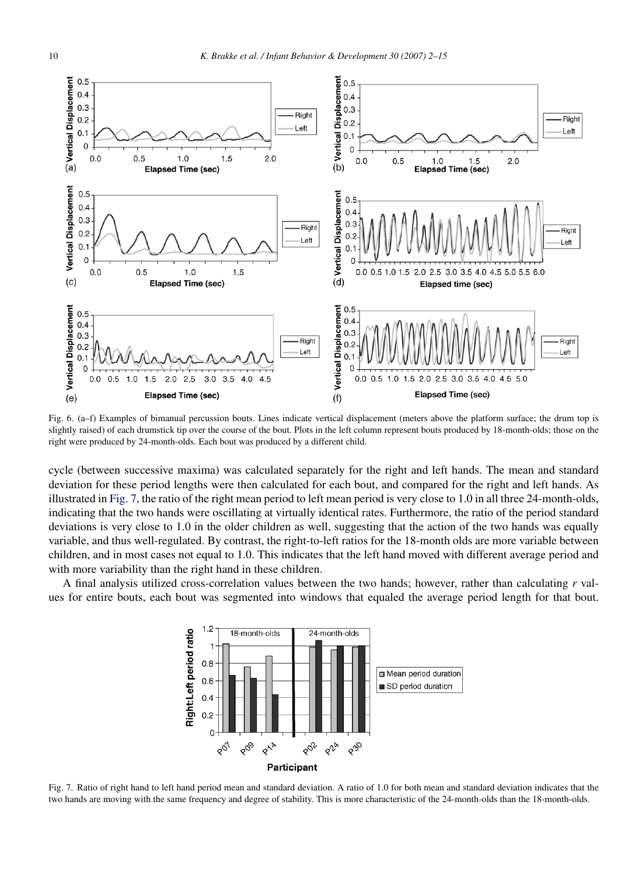<span id="page-8-0"></span>

Fig. 6. (a–f) Examples of bimanual percussion bouts. Lines indicate vertical displacement (meters above the platform surface; the drum top is slightly raised) of each drumstick tip over the course of the bout. Plots in the left column represent bouts produced by 18-month-olds; those on the right were produced by 24-month-olds. Each bout was produced by a different child.

cycle (between successive maxima) was calculated separately for the right and left hands. The mean and standard deviation for these period lengths were then calculated for each bout, and compared for the right and left hands. As illustrated in Fig. 7, the ratio of the right mean period to left mean period is very close to 1.0 in all three 24-month-olds, indicating that the two hands were oscillating at virtually identical rates. Furthermore, the ratio of the period standard deviations is very close to 1.0 in the older children as well, suggesting that the action of the two hands was equally variable, and thus well-regulated. By contrast, the right-to-left ratios for the 18-month olds are more variable between children, and in most cases not equal to 1.0. This indicates that the left hand moved with different average period and with more variability than the right hand in these children.

A final analysis utilized cross-correlation values between the two hands; however, rather than calculating *r* values for entire bouts, each bout was segmented into windows that equaled the average period length for that bout.



Fig. 7. Ratio of right hand to left hand period mean and standard deviation. A ratio of 1.0 for both mean and standard deviation indicates that the two hands are moving with the same frequency and degree of stability. This is more characteristic of the 24-month-olds than the 18-month-olds.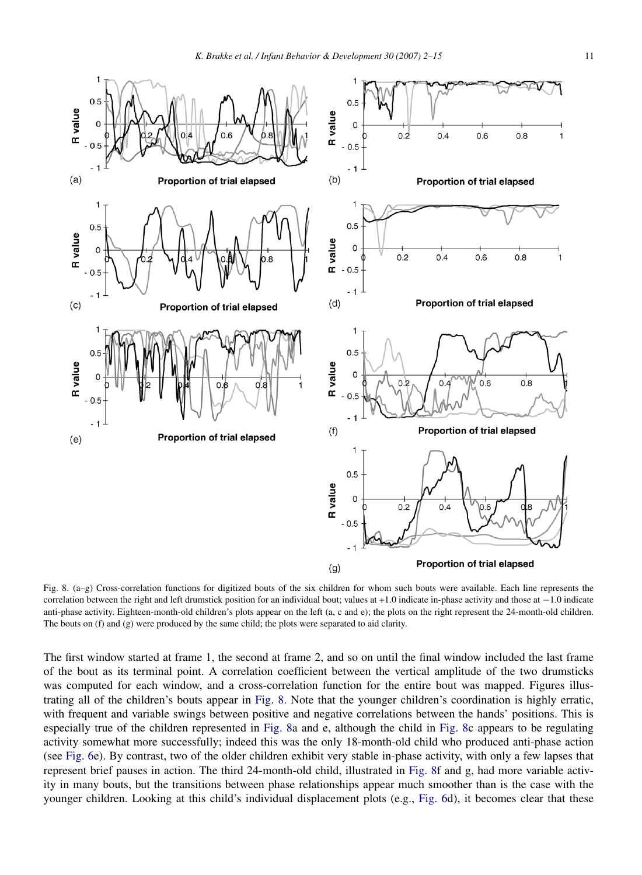

Fig. 8. (a–g) Cross-correlation functions for digitized bouts of the six children for whom such bouts were available. Each line represents the correlation between the right and left drumstick position for an individual bout; values at +1.0 indicate in-phase activity and those at −1.0 indicate anti-phase activity. Eighteen-month-old children's plots appear on the left (a, c and e); the plots on the right represent the 24-month-old children. The bouts on (f) and (g) were produced by the same child; the plots were separated to aid clarity.

The first window started at frame 1, the second at frame 2, and so on until the final window included the last frame of the bout as its terminal point. A correlation coefficient between the vertical amplitude of the two drumsticks was computed for each window, and a cross-correlation function for the entire bout was mapped. Figures illustrating all of the children's bouts appear in Fig. 8. Note that the younger children's coordination is highly erratic, with frequent and variable swings between positive and negative correlations between the hands' positions. This is especially true of the children represented in Fig. 8a and e, although the child in Fig. 8c appears to be regulating activity somewhat more successfully; indeed this was the only 18-month-old child who produced anti-phase action (see [Fig. 6e\)](#page-8-0). By contrast, two of the older children exhibit very stable in-phase activity, with only a few lapses that represent brief pauses in action. The third 24-month-old child, illustrated in Fig. 8f and g, had more variable activity in many bouts, but the transitions between phase relationships appear much smoother than is the case with the younger children. Looking at this child's individual displacement plots (e.g., [Fig. 6d](#page-8-0)), it becomes clear that these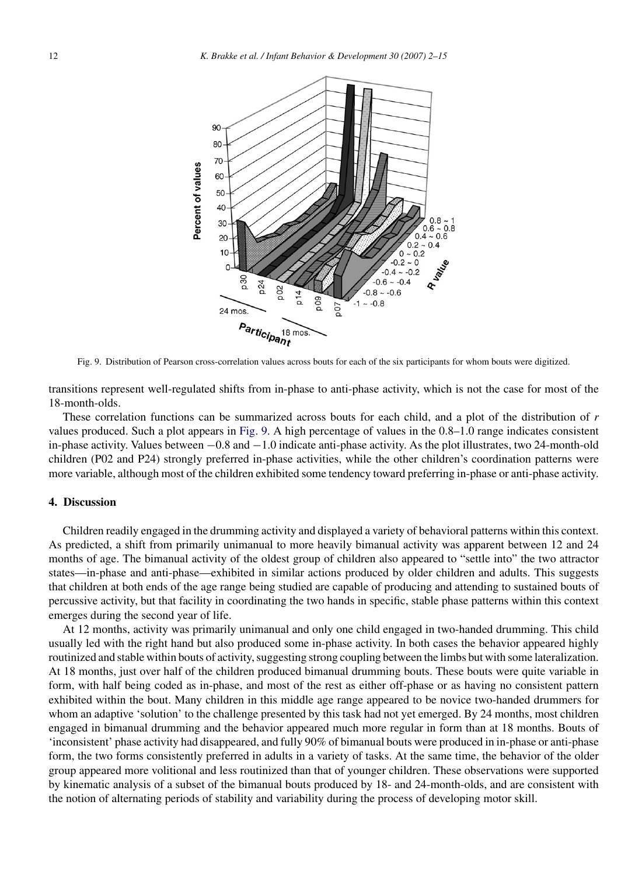

Fig. 9. Distribution of Pearson cross-correlation values across bouts for each of the six participants for whom bouts were digitized.

transitions represent well-regulated shifts from in-phase to anti-phase activity, which is not the case for most of the 18-month-olds.

These correlation functions can be summarized across bouts for each child, and a plot of the distribution of *r* values produced. Such a plot appears in Fig. 9. A high percentage of values in the 0.8–1.0 range indicates consistent in-phase activity. Values between  $-0.8$  and  $-1.0$  indicate anti-phase activity. As the plot illustrates, two 24-month-old children (P02 and P24) strongly preferred in-phase activities, while the other children's coordination patterns were more variable, although most of the children exhibited some tendency toward preferring in-phase or anti-phase activity.

# **4. Discussion**

Children readily engaged in the drumming activity and displayed a variety of behavioral patterns within this context. As predicted, a shift from primarily unimanual to more heavily bimanual activity was apparent between 12 and 24 months of age. The bimanual activity of the oldest group of children also appeared to "settle into" the two attractor states—in-phase and anti-phase—exhibited in similar actions produced by older children and adults. This suggests that children at both ends of the age range being studied are capable of producing and attending to sustained bouts of percussive activity, but that facility in coordinating the two hands in specific, stable phase patterns within this context emerges during the second year of life.

At 12 months, activity was primarily unimanual and only one child engaged in two-handed drumming. This child usually led with the right hand but also produced some in-phase activity. In both cases the behavior appeared highly routinized and stable within bouts of activity, suggesting strong coupling between the limbs but with some lateralization. At 18 months, just over half of the children produced bimanual drumming bouts. These bouts were quite variable in form, with half being coded as in-phase, and most of the rest as either off-phase or as having no consistent pattern exhibited within the bout. Many children in this middle age range appeared to be novice two-handed drummers for whom an adaptive 'solution' to the challenge presented by this task had not yet emerged. By 24 months, most children engaged in bimanual drumming and the behavior appeared much more regular in form than at 18 months. Bouts of 'inconsistent' phase activity had disappeared, and fully 90% of bimanual bouts were produced in in-phase or anti-phase form, the two forms consistently preferred in adults in a variety of tasks. At the same time, the behavior of the older group appeared more volitional and less routinized than that of younger children. These observations were supported by kinematic analysis of a subset of the bimanual bouts produced by 18- and 24-month-olds, and are consistent with the notion of alternating periods of stability and variability during the process of developing motor skill.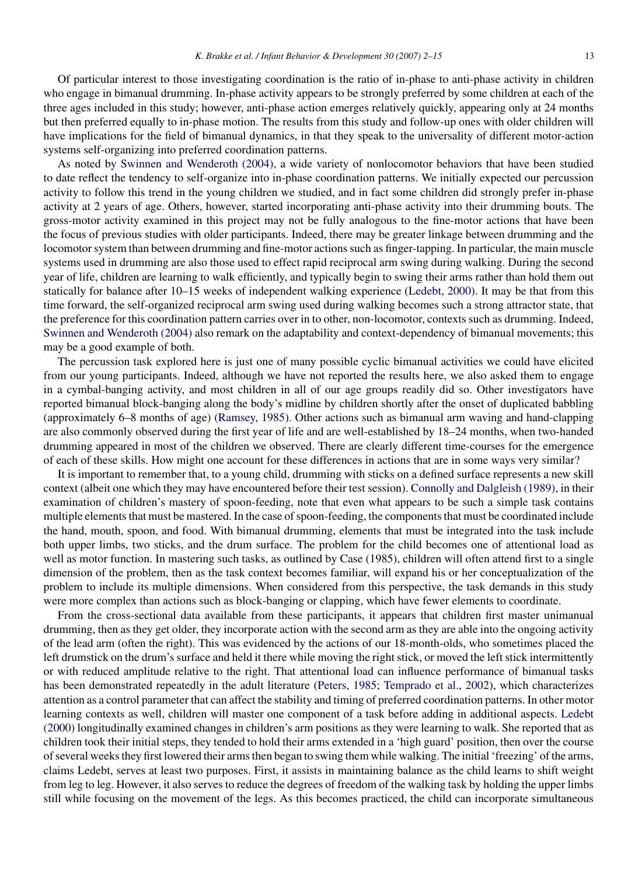Of particular interest to those investigating coordination is the ratio of in-phase to anti-phase activity in children who engage in bimanual drumming. In-phase activity appears to be strongly preferred by some children at each of the three ages included in this study; however, anti-phase action emerges relatively quickly, appearing only at 24 months but then preferred equally to in-phase motion. The results from this study and follow-up ones with older children will have implications for the field of bimanual dynamics, in that they speak to the universality of different motor-action systems self-organizing into preferred coordination patterns.

As noted by [Swinnen and Wenderoth \(2004\),](#page-13-0) a wide variety of nonlocomotor behaviors that have been studied to date reflect the tendency to self-organize into in-phase coordination patterns. We initially expected our percussion activity to follow this trend in the young children we studied, and in fact some children did strongly prefer in-phase activity at 2 years of age. Others, however, started incorporating anti-phase activity into their drumming bouts. The gross-motor activity examined in this project may not be fully analogous to the fine-motor actions that have been the focus of previous studies with older participants. Indeed, there may be greater linkage between drumming and the locomotor system than between drumming and fine-motor actions such as finger-tapping. In particular, the main muscle systems used in drumming are also those used to effect rapid reciprocal arm swing during walking. During the second year of life, children are learning to walk efficiently, and typically begin to swing their arms rather than hold them out statically for balance after 10–15 weeks of independent walking experience [\(Ledebt, 2000\).](#page-13-0) It may be that from this time forward, the self-organized reciprocal arm swing used during walking becomes such a strong attractor state, that the preference for this coordination pattern carries over in to other, non-locomotor, contexts such as drumming. Indeed, [Swinnen and Wenderoth \(2004\)](#page-13-0) also remark on the adaptability and context-dependency of bimanual movements; this may be a good example of both.

The percussion task explored here is just one of many possible cyclic bimanual activities we could have elicited from our young participants. Indeed, although we have not reported the results here, we also asked them to engage in a cymbal-banging activity, and most children in all of our age groups readily did so. Other investigators have reported bimanual block-banging along the body's midline by children shortly after the onset of duplicated babbling (approximately 6–8 months of age) ([Ramsey, 1985\).](#page-13-0) Other actions such as bimanual arm waving and hand-clapping are also commonly observed during the first year of life and are well-established by 18–24 months, when two-handed drumming appeared in most of the children we observed. There are clearly different time-courses for the emergence of each of these skills. How might one account for these differences in actions that are in some ways very similar?

It is important to remember that, to a young child, drumming with sticks on a defined surface represents a new skill context (albeit one which they may have encountered before their test session). [Connolly and Dalgleish \(1989\), i](#page-12-0)n their examination of children's mastery of spoon-feeding, note that even what appears to be such a simple task contains multiple elements that must be mastered. In the case of spoon-feeding, the components that must be coordinated include the hand, mouth, spoon, and food. With bimanual drumming, elements that must be integrated into the task include both upper limbs, two sticks, and the drum surface. The problem for the child becomes one of attentional load as well as motor function. In mastering such tasks, as outlined by Case (1985), children will often attend first to a single dimension of the problem, then as the task context becomes familiar, will expand his or her conceptualization of the problem to include its multiple dimensions. When considered from this perspective, the task demands in this study were more complex than actions such as block-banging or clapping, which have fewer elements to coordinate.

From the cross-sectional data available from these participants, it appears that children first master unimanual drumming, then as they get older, they incorporate action with the second arm as they are able into the ongoing activity of the lead arm (often the right). This was evidenced by the actions of our 18-month-olds, who sometimes placed the left drumstick on the drum's surface and held it there while moving the right stick, or moved the left stick intermittently or with reduced amplitude relative to the right. That attentional load can influence performance of bimanual tasks has been demonstrated repeatedly in the adult literature [\(Peters, 1985; Temprado et al., 2002\),](#page-13-0) which characterizes attention as a control parameter that can affect the stability and timing of preferred coordination patterns. In other motor learning contexts as well, children will master one component of a task before adding in additional aspects. [Ledebt](#page-13-0) [\(2000\)](#page-13-0) longitudinally examined changes in children's arm positions as they were learning to walk. She reported that as children took their initial steps, they tended to hold their arms extended in a 'high guard' position, then over the course of several weeks they first lowered their arms then began to swing them while walking. The initial 'freezing' of the arms, claims Ledebt, serves at least two purposes. First, it assists in maintaining balance as the child learns to shift weight from leg to leg. However, it also serves to reduce the degrees of freedom of the walking task by holding the upper limbs still while focusing on the movement of the legs. As this becomes practiced, the child can incorporate simultaneous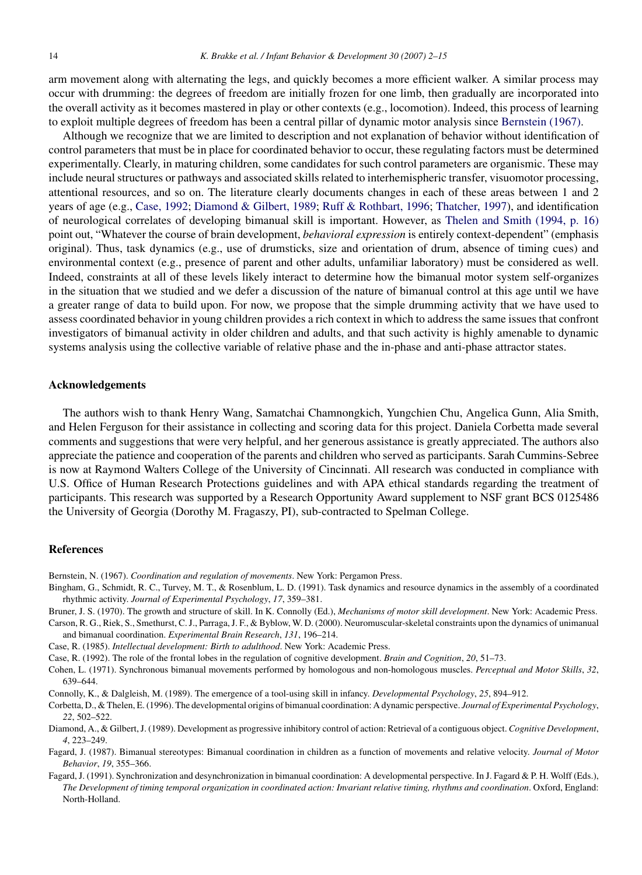<span id="page-12-0"></span>arm movement along with alternating the legs, and quickly becomes a more efficient walker. A similar process may occur with drumming: the degrees of freedom are initially frozen for one limb, then gradually are incorporated into the overall activity as it becomes mastered in play or other contexts (e.g., locomotion). Indeed, this process of learning to exploit multiple degrees of freedom has been a central pillar of dynamic motor analysis since Bernstein (1967).

Although we recognize that we are limited to description and not explanation of behavior without identification of control parameters that must be in place for coordinated behavior to occur, these regulating factors must be determined experimentally. Clearly, in maturing children, some candidates for such control parameters are organismic. These may include neural structures or pathways and associated skills related to interhemispheric transfer, visuomotor processing, attentional resources, and so on. The literature clearly documents changes in each of these areas between 1 and 2 years of age (e.g., Case, 1992; Diamond & Gilbert, 1989; [Ruff & Rothbart, 1996;](#page-13-0) [Thatcher, 1997\),](#page-13-0) and identification of neurological correlates of developing bimanual skill is important. However, as [Thelen and Smith \(1994, p. 16\)](#page-13-0) point out, "Whatever the course of brain development, *behavioral expression* is entirely context-dependent" (emphasis original). Thus, task dynamics (e.g., use of drumsticks, size and orientation of drum, absence of timing cues) and environmental context (e.g., presence of parent and other adults, unfamiliar laboratory) must be considered as well. Indeed, constraints at all of these levels likely interact to determine how the bimanual motor system self-organizes in the situation that we studied and we defer a discussion of the nature of bimanual control at this age until we have a greater range of data to build upon. For now, we propose that the simple drumming activity that we have used to assess coordinated behavior in young children provides a rich context in which to address the same issues that confront investigators of bimanual activity in older children and adults, and that such activity is highly amenable to dynamic systems analysis using the collective variable of relative phase and the in-phase and anti-phase attractor states.

## **Acknowledgements**

The authors wish to thank Henry Wang, Samatchai Chamnongkich, Yungchien Chu, Angelica Gunn, Alia Smith, and Helen Ferguson for their assistance in collecting and scoring data for this project. Daniela Corbetta made several comments and suggestions that were very helpful, and her generous assistance is greatly appreciated. The authors also appreciate the patience and cooperation of the parents and children who served as participants. Sarah Cummins-Sebree is now at Raymond Walters College of the University of Cincinnati. All research was conducted in compliance with U.S. Office of Human Research Protections guidelines and with APA ethical standards regarding the treatment of participants. This research was supported by a Research Opportunity Award supplement to NSF grant BCS 0125486 the University of Georgia (Dorothy M. Fragaszy, PI), sub-contracted to Spelman College.

# **References**

Bernstein, N. (1967). *Coordination and regulation of movements*. New York: Pergamon Press.

- Bingham, G., Schmidt, R. C., Turvey, M. T., & Rosenblum, L. D. (1991). Task dynamics and resource dynamics in the assembly of a coordinated rhythmic activity. *Journal of Experimental Psychology*, *17*, 359–381.
- Bruner, J. S. (1970). The growth and structure of skill. In K. Connolly (Ed.), *Mechanisms of motor skill development*. New York: Academic Press.
- Carson, R. G., Riek, S., Smethurst, C. J., Parraga, J. F., & Byblow, W. D. (2000). Neuromuscular-skeletal constraints upon the dynamics of unimanual and bimanual coordination. *Experimental Brain Research*, *131*, 196–214.
- Case, R. (1985). *Intellectual development: Birth to adulthood*. New York: Academic Press.
- Case, R. (1992). The role of the frontal lobes in the regulation of cognitive development. *Brain and Cognition*, *20*, 51–73.
- Cohen, L. (1971). Synchronous bimanual movements performed by homologous and non-homologous muscles. *Perceptual and Motor Skills*, *32*, 639–644.
- Connolly, K., & Dalgleish, M. (1989). The emergence of a tool-using skill in infancy. *Developmental Psychology*, *25*, 894–912.
- Corbetta, D., & Thelen, E. (1996). The developmental origins of bimanual coordination: A dynamic perspective. *Journal of Experimental Psychology*, *22*, 502–522.
- Diamond, A., & Gilbert, J. (1989). Development as progressive inhibitory control of action: Retrieval of a contiguous object. *Cognitive Development*, *4*, 223–249.
- Fagard, J. (1987). Bimanual stereotypes: Bimanual coordination in children as a function of movements and relative velocity. *Journal of Motor Behavior*, *19*, 355–366.
- Fagard, J. (1991). Synchronization and desynchronization in bimanual coordination: A developmental perspective. In J. Fagard & P. H. Wolff (Eds.), *The Development of timing temporal organization in coordinated action: Invariant relative timing, rhythms and coordination*. Oxford, England: North-Holland.